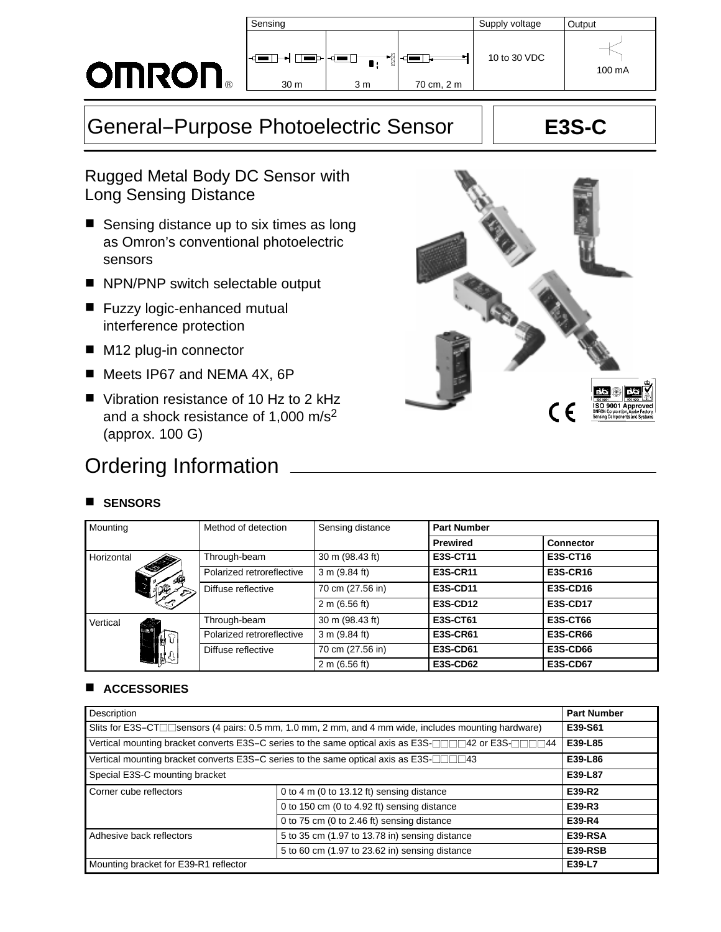### **OMRON**  $\overline{B}$

| Sensing                       |          |                     | Supply voltage | Output |
|-------------------------------|----------|---------------------|----------------|--------|
| ⊲F<br>▬▻◅◾<br>30 <sub>m</sub> | ł<br>3 m | l ani<br>70 cm, 2 m | 10 to 30 VDC   | 100 mA |
|                               |          |                     |                |        |

# General-Purpose Photoelectric Sensor | E3S-C

Rugged Metal Body DC Sensor with Long Sensing Distance

- Sensing distance up to six times as long as Omron's conventional photoelectric sensors
- NPN/PNP switch selectable output
- Fuzzy logic-enhanced mutual interference protection
- M12 plug-in connector
- Meets IP67 and NEMA 4X, 6P
- Vibration resistance of 10 Hz to 2 kHz and a shock resistance of 1,000 m/s2 (approx. 100 G)

## Ordering Information

#### **SENSORS**



### **ACCESSORIES**

| Description                                                                                                                      | <b>Part Number</b>                          |        |
|----------------------------------------------------------------------------------------------------------------------------------|---------------------------------------------|--------|
| Slits for E3S-CT□□sensors (4 pairs: 0.5 mm, 1.0 mm, 2 mm, and 4 mm wide, includes mounting hardware)                             | E39-S61                                     |        |
| Vertical mounting bracket converts E3S-C series to the same optical axis as E3S- $\Box\Box\Box$ 42 or E3S- $\Box\Box\Box\Box$ 44 | E39-L85                                     |        |
| Vertical mounting bracket converts E3S–C series to the same optical axis as E3S-□□□43                                            | E39-L86                                     |        |
| Special E3S-C mounting bracket                                                                                                   | E39-L87                                     |        |
| Corner cube reflectors                                                                                                           | 0 to 4 m (0 to 13.12 ft) sensing distance   | E39-R2 |
|                                                                                                                                  | 0 to 150 cm (0 to 4.92 ft) sensing distance | E39-R3 |
|                                                                                                                                  | 0 to 75 cm (0 to 2.46 ft) sensing distance  | E39-R4 |
| Adhesive back reflectors                                                                                                         | <b>E39-RSA</b>                              |        |
|                                                                                                                                  | E39-RSB                                     |        |
| Mounting bracket for E39-R1 reflector                                                                                            | E39-L7                                      |        |

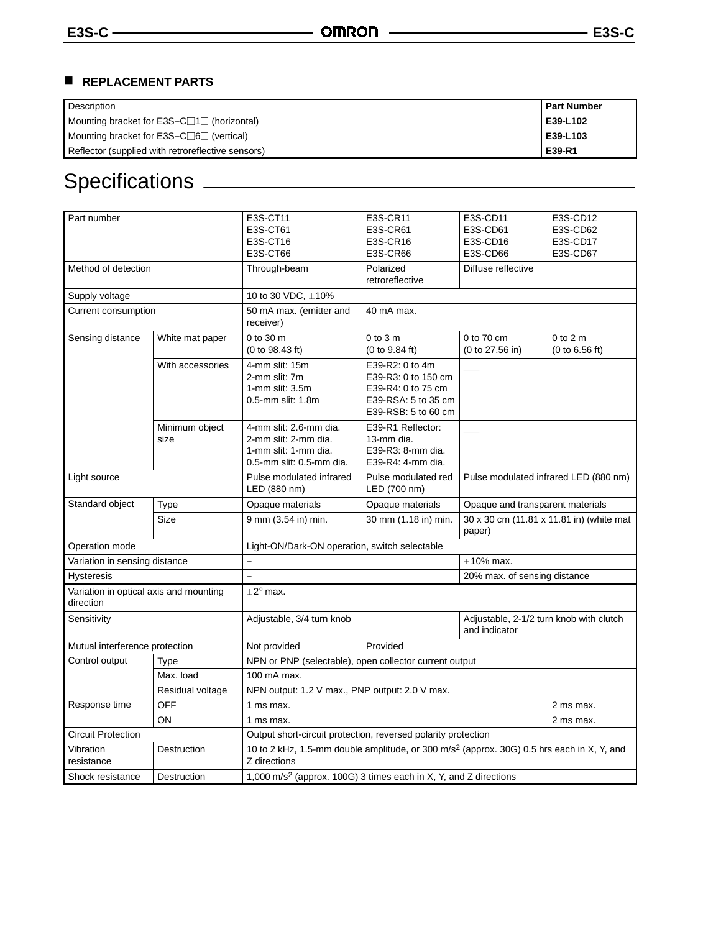### **REPLACEMENT PARTS**

| Description                                           | <b>Part Number</b> |
|-------------------------------------------------------|--------------------|
| Mounting bracket for $E3S-C \Box 1 \Box$ (horizontal) | E39-L102           |
| Mounting bracket for $E3S-C \Box 6 \Box$ (vertical)   | E39-L103           |
| Reflector (supplied with retroreflective sensors)     | E39-R1             |

## Specifications

| Part number                                         |                  | E3S-CT11<br>E3S-CT61                                                                                                  | E3S-CR11<br>E3S-CR61                                         | E3S-CD11<br>E3S-CD61                                     | E3S-CD12<br>E3S-CD62 |  |  |
|-----------------------------------------------------|------------------|-----------------------------------------------------------------------------------------------------------------------|--------------------------------------------------------------|----------------------------------------------------------|----------------------|--|--|
|                                                     |                  | E3S-CT16                                                                                                              | E3S-CR16                                                     | E3S-CD16                                                 | E3S-CD17             |  |  |
|                                                     |                  |                                                                                                                       |                                                              | E3S-CD66                                                 |                      |  |  |
|                                                     |                  | E3S-CT66                                                                                                              | <b>E3S-CR66</b>                                              |                                                          | E3S-CD67             |  |  |
| Method of detection                                 |                  | Through-beam                                                                                                          | Polarized<br>retroreflective                                 | Diffuse reflective                                       |                      |  |  |
|                                                     |                  |                                                                                                                       |                                                              |                                                          |                      |  |  |
| Supply voltage                                      |                  | 10 to 30 VDC, $\pm$ 10%                                                                                               |                                                              |                                                          |                      |  |  |
| Current consumption                                 |                  | 50 mA max. (emitter and<br>receiver)                                                                                  | 40 mA max.                                                   |                                                          |                      |  |  |
| Sensing distance                                    | White mat paper  | 0 to 30 m                                                                                                             | $0$ to $3m$                                                  | 0 to 70 cm                                               | $0$ to $2m$          |  |  |
|                                                     |                  | (0 to 98.43 ft)                                                                                                       | (0 to 9.84 ft)                                               | (0 to 27.56 in)                                          | (0 to 6.56 ft)       |  |  |
|                                                     | With accessories | 4-mm slit: 15m                                                                                                        | E39-R2: 0 to 4m                                              |                                                          |                      |  |  |
|                                                     |                  | 2-mm slit: 7m                                                                                                         | E39-R3: 0 to 150 cm                                          |                                                          |                      |  |  |
|                                                     |                  | 1-mm slit: 3.5m                                                                                                       | E39-R4: 0 to 75 cm                                           |                                                          |                      |  |  |
|                                                     |                  | 0.5-mm slit: 1.8m                                                                                                     | E39-RSA: 5 to 35 cm                                          |                                                          |                      |  |  |
|                                                     |                  |                                                                                                                       | E39-RSB: 5 to 60 cm                                          |                                                          |                      |  |  |
|                                                     | Minimum object   | 4-mm slit: 2.6-mm dia.                                                                                                | E39-R1 Reflector:                                            |                                                          |                      |  |  |
|                                                     | size             | 2-mm slit: 2-mm dia.                                                                                                  | 13-mm dia.                                                   |                                                          |                      |  |  |
|                                                     |                  | 1-mm slit: 1-mm dia.                                                                                                  | E39-R3: 8-mm dia.                                            |                                                          |                      |  |  |
|                                                     |                  | 0.5-mm slit: 0.5-mm dia.                                                                                              | E39-R4: 4-mm dia.                                            |                                                          |                      |  |  |
| Light source                                        |                  | Pulse modulated infrared                                                                                              | Pulse modulated red<br>Pulse modulated infrared LED (880 nm) |                                                          |                      |  |  |
|                                                     |                  | LED (880 nm)                                                                                                          | LED (700 nm)                                                 |                                                          |                      |  |  |
| Standard object                                     | Type             | Opaque materials                                                                                                      | Opaque materials                                             | Opaque and transparent materials                         |                      |  |  |
| Size                                                |                  | 9 mm (3.54 in) min.                                                                                                   | 30 mm (1.18 in) min.                                         | 30 x 30 cm (11.81 x 11.81 in) (white mat<br>paper)       |                      |  |  |
| Operation mode                                      |                  | Light-ON/Dark-ON operation, switch selectable                                                                         |                                                              |                                                          |                      |  |  |
| Variation in sensing distance                       |                  | $\equiv$                                                                                                              | $\pm$ 10% max.                                               |                                                          |                      |  |  |
| <b>Hysteresis</b>                                   |                  | L.                                                                                                                    |                                                              | 20% max. of sensing distance                             |                      |  |  |
| Variation in optical axis and mounting<br>direction |                  | $\pm 2^{\circ}$ max.                                                                                                  |                                                              |                                                          |                      |  |  |
| Sensitivity                                         |                  | Adjustable, 3/4 turn knob                                                                                             |                                                              | Adjustable, 2-1/2 turn knob with clutch<br>and indicator |                      |  |  |
| Mutual interference protection                      |                  | Provided<br>Not provided                                                                                              |                                                              |                                                          |                      |  |  |
| Control output<br><b>Type</b>                       |                  | NPN or PNP (selectable), open collector current output                                                                |                                                              |                                                          |                      |  |  |
|                                                     | Max. load        | 100 mA max.                                                                                                           |                                                              |                                                          |                      |  |  |
| Residual voltage                                    |                  | NPN output: 1.2 V max., PNP output: 2.0 V max.                                                                        |                                                              |                                                          |                      |  |  |
| Response time                                       | <b>OFF</b>       | 1 ms max.<br>2 ms max.                                                                                                |                                                              |                                                          |                      |  |  |
| ON                                                  |                  | 1 ms max.<br>2 ms max.                                                                                                |                                                              |                                                          |                      |  |  |
| <b>Circuit Protection</b>                           |                  | Output short-circuit protection, reversed polarity protection                                                         |                                                              |                                                          |                      |  |  |
| Vibration<br>Destruction<br>resistance              |                  | 10 to 2 kHz, 1.5-mm double amplitude, or 300 m/s <sup>2</sup> (approx. 30G) 0.5 hrs each in X, Y, and<br>Z directions |                                                              |                                                          |                      |  |  |
| Shock resistance                                    | Destruction      | 1,000 m/s <sup>2</sup> (approx. 100G) 3 times each in X, Y, and Z directions                                          |                                                              |                                                          |                      |  |  |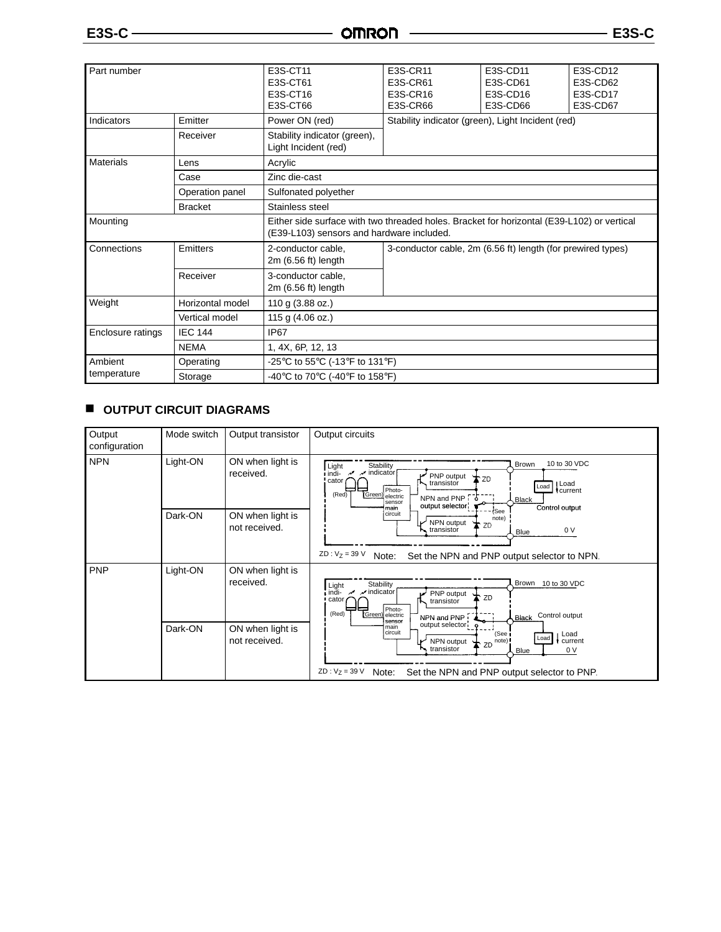| <b>E3S-C</b>          |                 | <b>OMRON</b>                                                                                                                            |                                                             | E3S-C                                        |                                              |  |
|-----------------------|-----------------|-----------------------------------------------------------------------------------------------------------------------------------------|-------------------------------------------------------------|----------------------------------------------|----------------------------------------------|--|
| Part number           |                 | E3S-CT11<br>E3S-CT61<br>E3S-CT16<br>E3S-CT66                                                                                            | E3S-CR11<br>E3S-CR61<br>E3S-CR16<br>E3S-CR66                | E3S-CD11<br>E3S-CD61<br>E3S-CD16<br>E3S-CD66 | E3S-CD12<br>E3S-CD62<br>E3S-CD17<br>E3S-CD67 |  |
| Emitter<br>Indicators |                 | Power ON (red)                                                                                                                          | Stability indicator (green), Light Incident (red)           |                                              |                                              |  |
|                       | Receiver        | Stability indicator (green),<br>Light Incident (red)                                                                                    |                                                             |                                              |                                              |  |
| <b>Materials</b>      | Lens            | Acrylic                                                                                                                                 |                                                             |                                              |                                              |  |
|                       | Case            | Zinc die-cast                                                                                                                           |                                                             |                                              |                                              |  |
|                       | Operation panel | Sulfonated polyether                                                                                                                    |                                                             |                                              |                                              |  |
| <b>Bracket</b>        |                 | Stainless steel                                                                                                                         |                                                             |                                              |                                              |  |
| Mounting              |                 | Either side surface with two threaded holes. Bracket for horizontal (E39-L102) or vertical<br>(E39-L103) sensors and hardware included. |                                                             |                                              |                                              |  |
| Connections           | Emitters        | 2-conductor cable,<br>$2m(6.56 ft)$ length                                                                                              | 3-conductor cable, 2m (6.56 ft) length (for prewired types) |                                              |                                              |  |

|                        | Receiver         | 3-conductor cable,<br>$2m(6.56 ft)$ length                             |  |  |
|------------------------|------------------|------------------------------------------------------------------------|--|--|
| Weight                 | Horizontal model | 110 g $(3.88 \text{ oz.})$                                             |  |  |
|                        | Vertical model   | 115 g (4.06 oz.)                                                       |  |  |
| Enclosure ratings      | <b>IEC 144</b>   | IP <sub>67</sub>                                                       |  |  |
|                        | <b>NEMA</b>      | 1, 4X, 6P, 12, 13                                                      |  |  |
| Ambient<br>temperature | Operating        | -25°C to 55°C (-13°F to 131°F)                                         |  |  |
|                        | Storage          | -40 $\degree$ C to 70 $\degree$ C (-40 $\degree$ F to 158 $\degree$ F) |  |  |
|                        |                  |                                                                        |  |  |

### **OUTPUT CIRCUIT DIAGRAMS**

| Output<br>configuration | Mode switch | Output transistor                 | Output circuits                                                                                                                                                                                                                                                                    |
|-------------------------|-------------|-----------------------------------|------------------------------------------------------------------------------------------------------------------------------------------------------------------------------------------------------------------------------------------------------------------------------------|
| <b>NPN</b>              | Light-ON    | ON when light is<br>received.     | 10 to 30 VDC<br>Brown<br>Stability<br>Light<br>$\nu$ indicator<br>i indi-<br>PNP output<br>trzo<br>cator<br>transistor<br>  Load<br>Load<br>Photo-<br>current<br>(Red)<br>(Green) electric<br>NPN and PNP 0<br><b>Black</b><br>sensor<br>output selector<br>Control output<br>main |
|                         | Dark-ON     | ON when light is<br>not received. | (See<br>circuit<br>note)<br>NPN output<br>$\mathbf{\Sigma}$ ZD<br>transistor<br>0 V<br>Blue<br>$ZD : V_7 = 39 V$<br>Note:<br>Set the NPN and PNP output selector to NPN.                                                                                                           |
| <b>PNP</b>              | Light-ON    | ON when light is<br>received.     | Brown<br>10 to 30 VDC<br>Stability<br>Light<br>, indi-<br>$\boldsymbol{\varkappa}$ indicator<br>PNP output<br>ZD<br>cator<br>transistor<br>Photo-<br>(Red)<br>(Green) electric<br>Control output<br>NPN and PNP!<br><b>Black</b><br>sensor                                         |
|                         | Dark-ON     | ON when light is<br>not received. | output selector: 9<br>main<br>circuit<br>Load<br>(See<br>Load<br>$\bigstar$ zD note)!<br>current<br>NPN output<br>transistor<br>0 <sub>V</sub><br>Blue<br>$ZD : V_7 = 39 V$<br>Note:<br>Set the NPN and PNP output selector to PNP.                                                |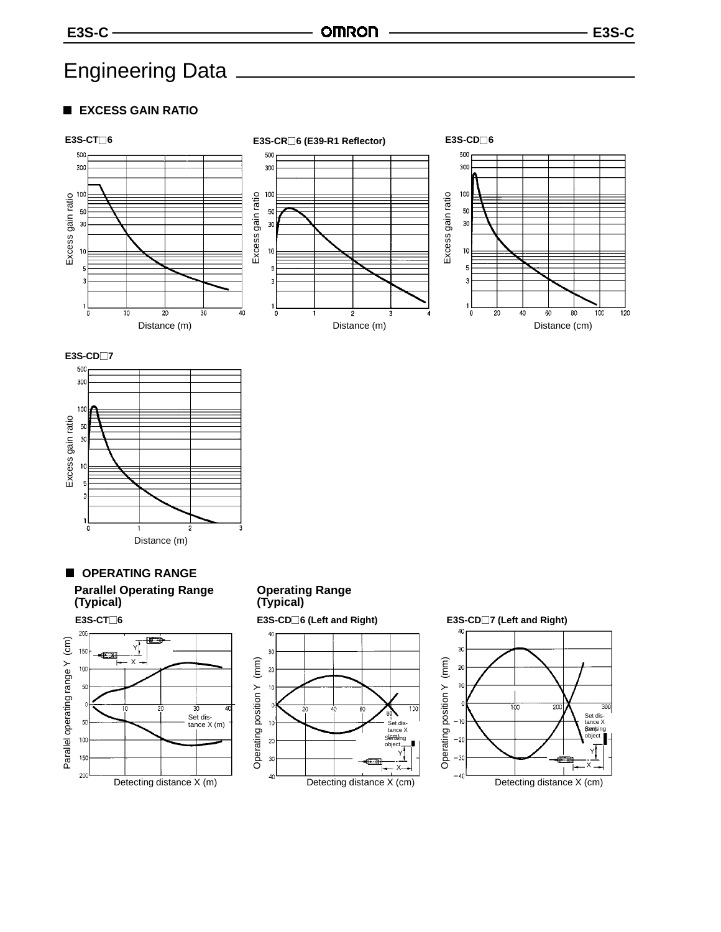## Engineering Data

#### **EXCESS GAIN RATIO**













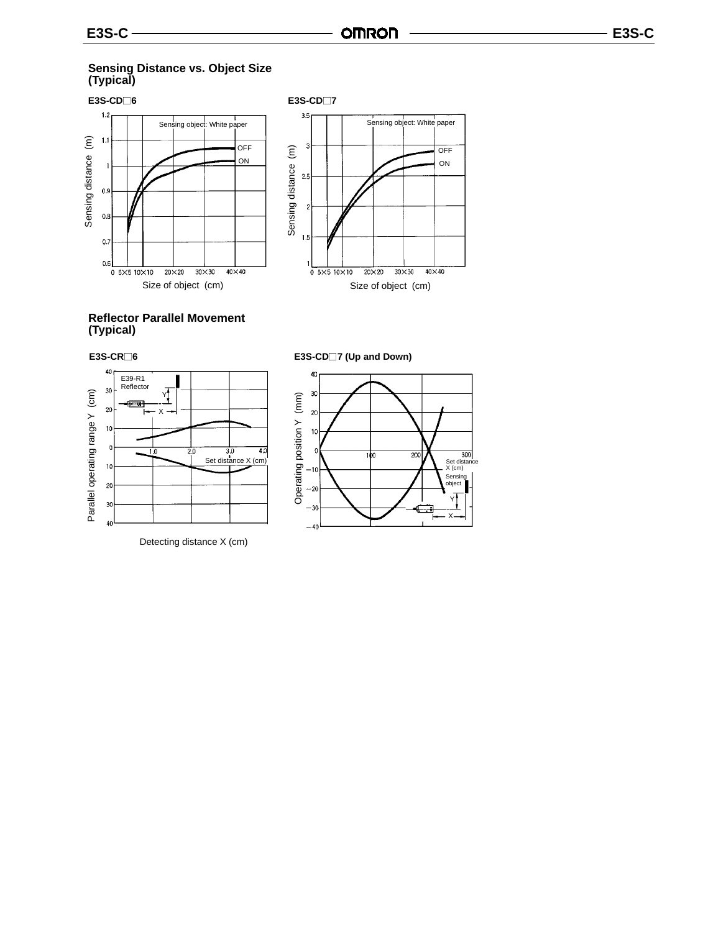#### **Sensing Distance vs. Object Size (Typical)**



#### **Reflector Parallel Movement (Typical)**



Detecting distance X (cm)



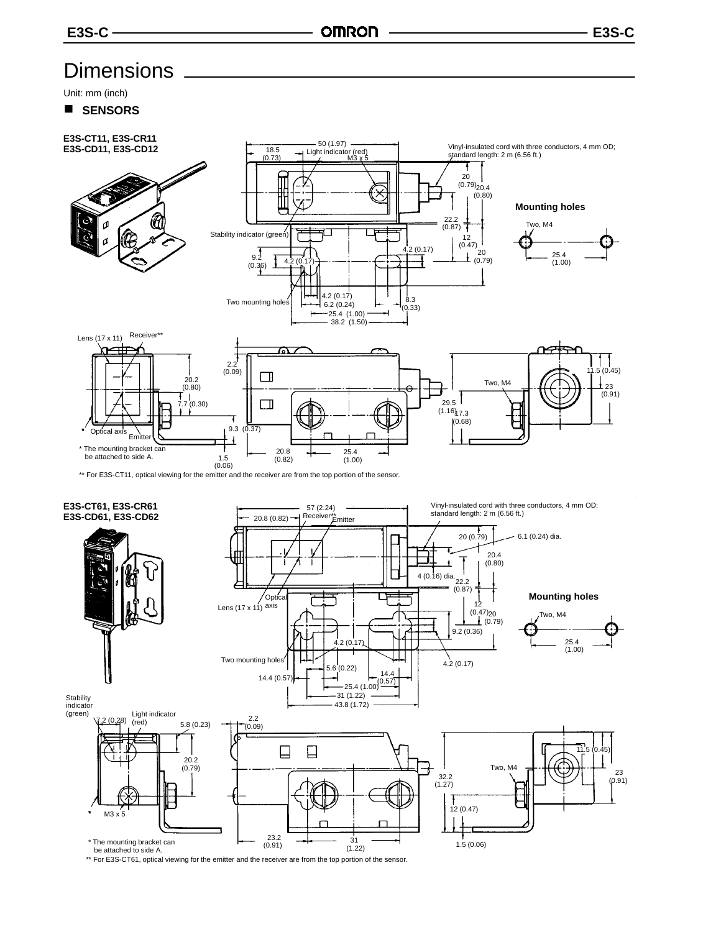### **Dimensions**

Unit: mm (inch)

SENSORS



 $(1.22)$ 

1.5 (0.06)

 $(0.91)$  31 \*\* For E3S-CT61, optical viewing for the emitter and the receiver are from the top portion of the sensor. be attached to side A.

\* The mounting bracket can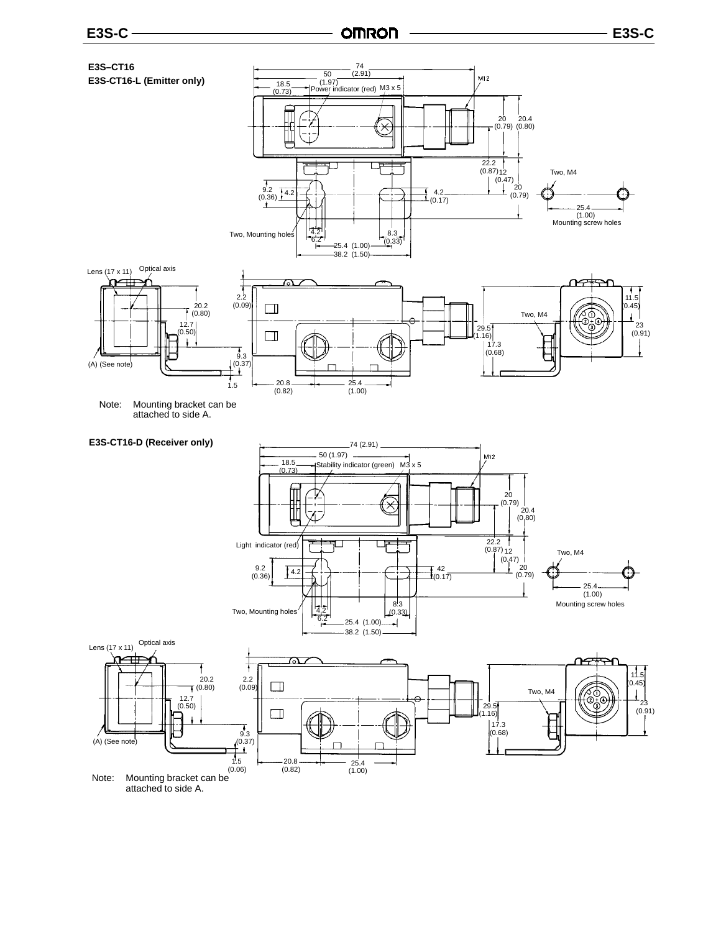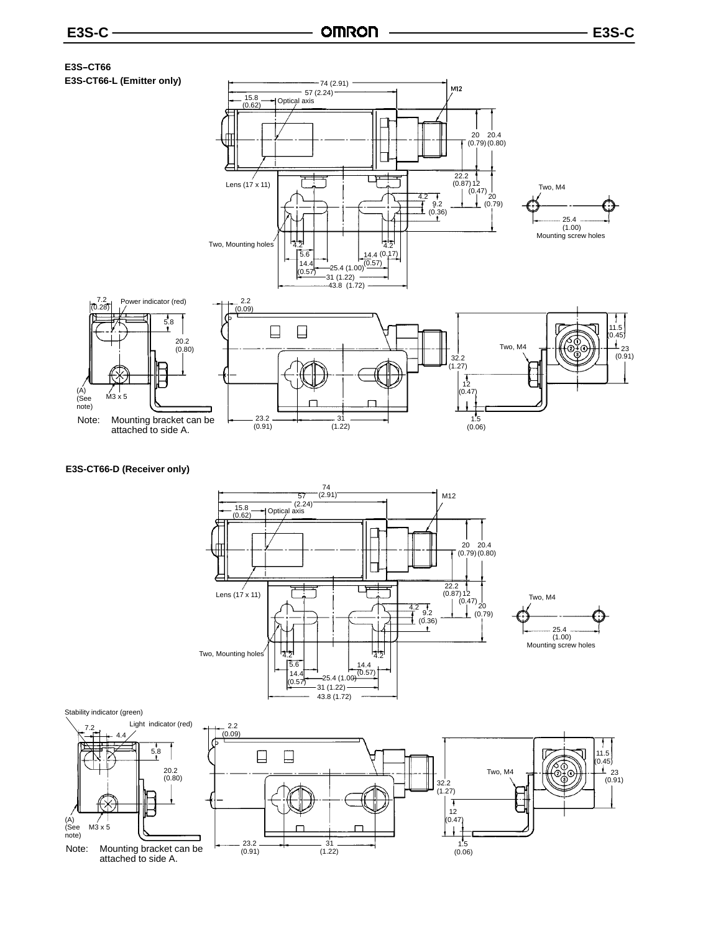#### **E3S--CT66 E3S-CT66-L (Emitter only)**



#### **E3S-CT66-D (Receiver only)**



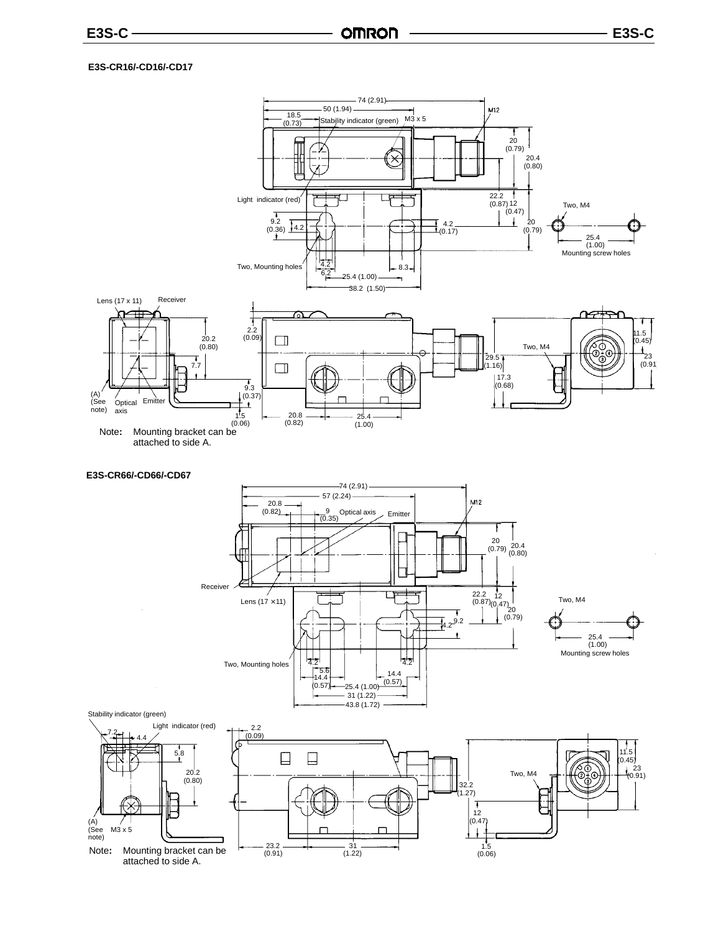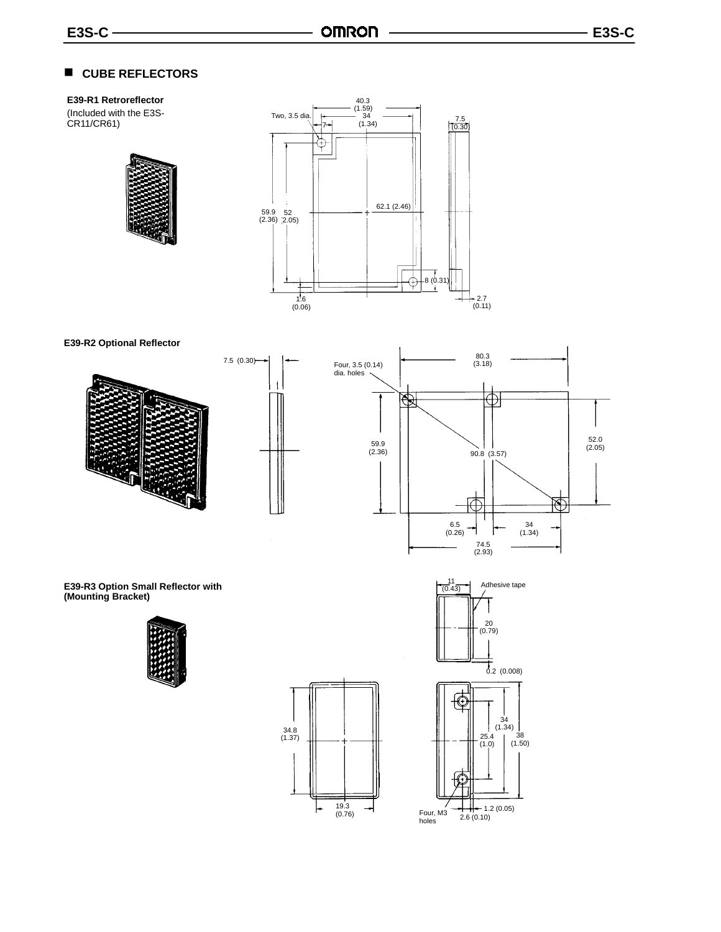#### ■ CUBE REFLECTORS

#### **E39-R1 Retroreflector**

(Included with the E3S-CR11/CR61)





**E39-R2 Optional Reflector**





34.8 (1.37)

19.3 (0.76)

**E39-R3 Option Small Reflector with (Mounting Bracket)**





34 (1.34)

殴

⊕



52.0 (2.05)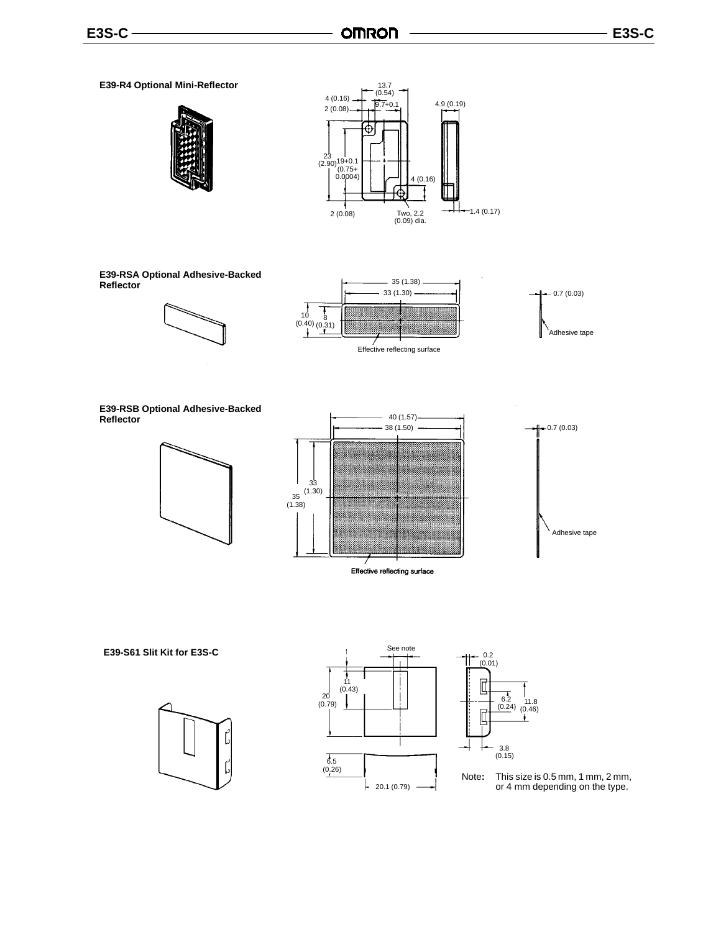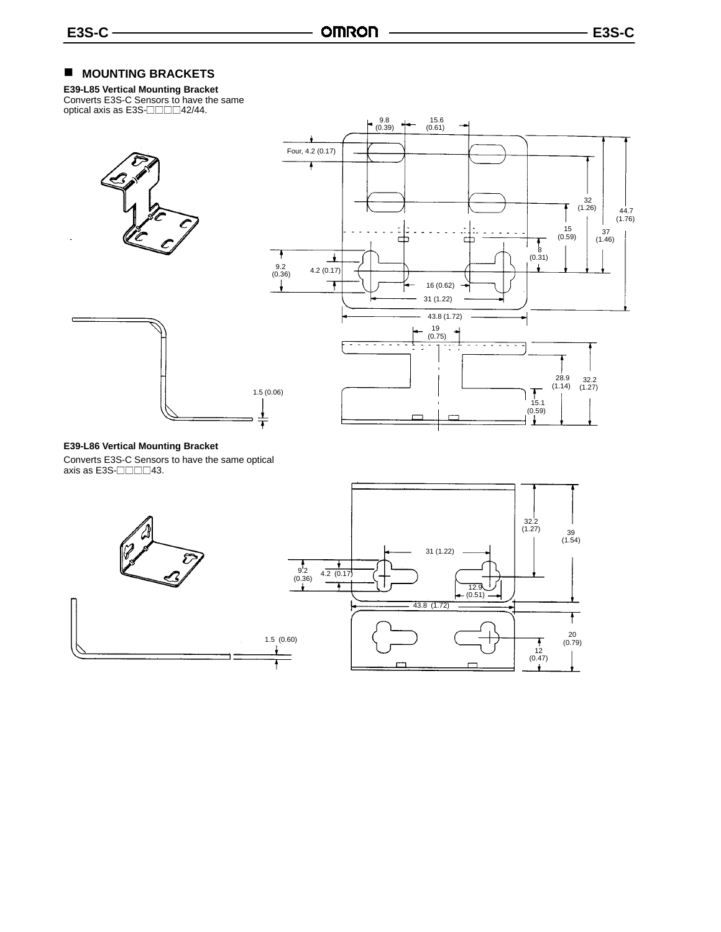### **MOUNTING BRACKETS**

**E39-L85 Vertical Mounting Bracket** Converts E3S-C Sensors to have the same<br>optical axis as E3S-⊟⊟⊟⊟42/44.





#### **E39-L86 Vertical Mounting Bracket**

Converts E3S-C Sensors to have the same optical axis as E3S- $\Box$  $\Box$  $\Box$ 43.

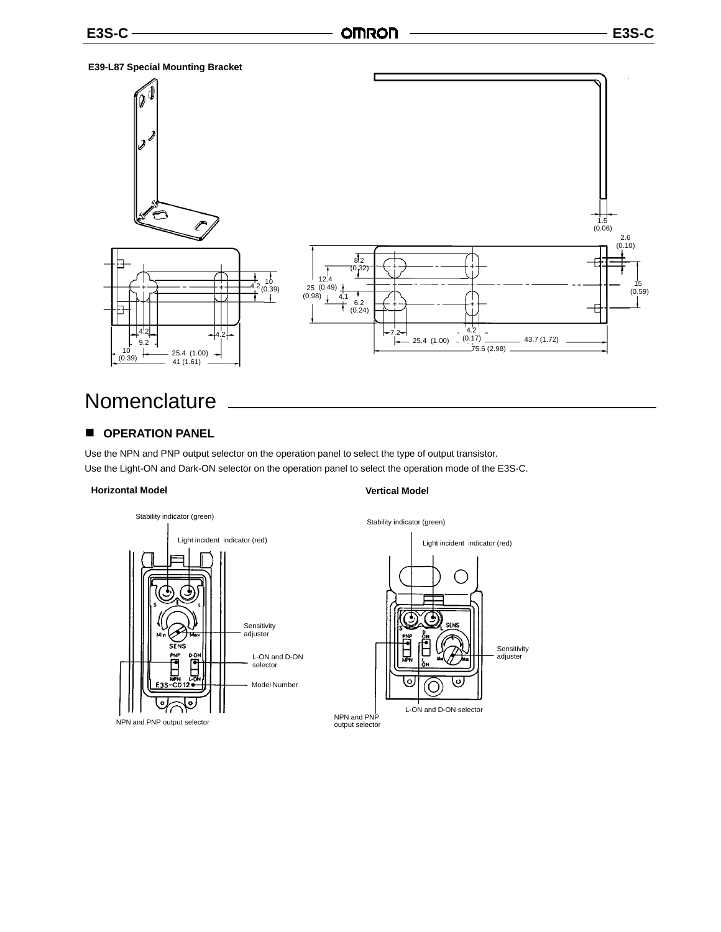#### **E39-L87 Special Mounting Bracket**



### **Nomenclature**

### **COPERATION PANEL**

Use the NPN and PNP output selector on the operation panel to select the type of output transistor. Use the Light-ON and Dark-ON selector on the operation panel to select the operation mode of the E3S-C.

#### **Horizontal Model Vertical Model**

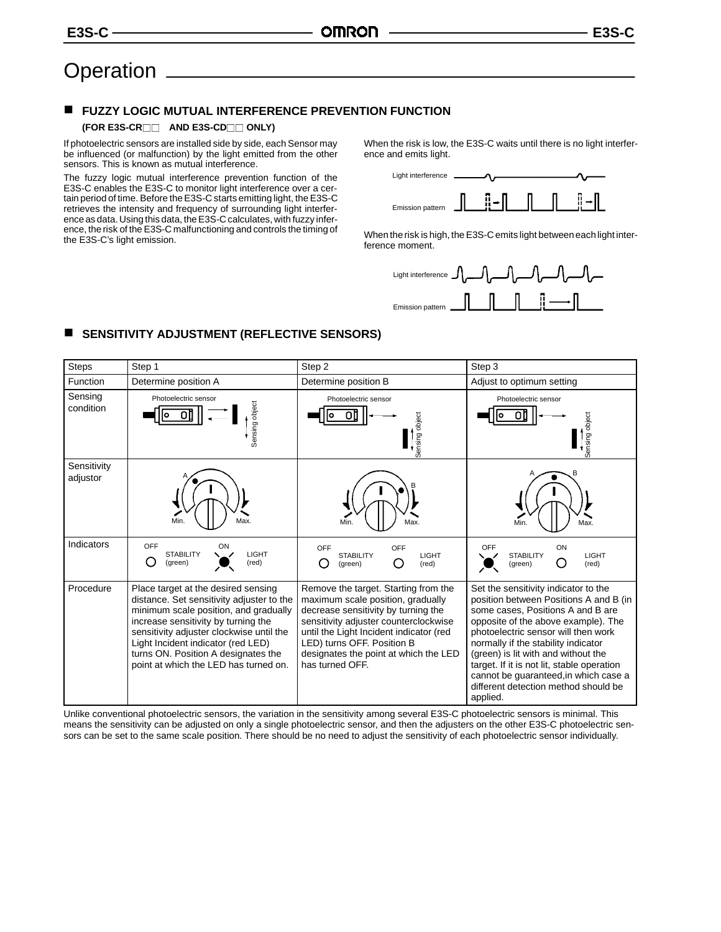### **Operation**

#### $\blacksquare$ **FUZZY LOGIC MUTUAL INTERFERENCE PREVENTION FUNCTION**

#### **(FOR E3S-CR AND E3S-CD ONLY)**

If photoelectric sensors are installed side by side, each Sensor may be influenced (or malfunction) by the light emitted from the other sensors. This is known as mutual interference.

The fuzzy logic mutual interference prevention function of the E3S-C enables the E3S-C to monitor light interference over a certain period of time. Before the E3S-C starts emitting light, the E3S-C retrieves the intensity and frequency of surrounding light interference as data. Using this data, the E3S-C calculates, with fuzzy inference, the risk of the E3S-C malfunctioning and controls the timing of the E3S-C's light emission.

■ SENSITIVITY ADJUSTMENT (REFLECTIVE SENSORS)

When the risk is low, the E3S-C waits until there is no light interference and emits light.



When the risk is high, the E3S-C emits light between each light interference moment.



#### Steps | Step 1 November 2 Step 3 November 2 Step 3 November 2 Step 3 November 2 November 2 Step 3 Function Determine position A Determine position B Adjust to optimum setting Sen con Photoelectric sensor Sensing object Photoelectric sensor Sensing object Ser adj B

| Sensing<br>condition    | Photoelectric sensor<br>Sensing object                                                                                                                                                                                                                                                                                             | Photoelectric sensor<br>Sensing object                                                                                                                                                                                                                                                         | Photoelectric sensor<br>Sensing object                                                                                                                                                                                                                                                                                                                                                                                     |
|-------------------------|------------------------------------------------------------------------------------------------------------------------------------------------------------------------------------------------------------------------------------------------------------------------------------------------------------------------------------|------------------------------------------------------------------------------------------------------------------------------------------------------------------------------------------------------------------------------------------------------------------------------------------------|----------------------------------------------------------------------------------------------------------------------------------------------------------------------------------------------------------------------------------------------------------------------------------------------------------------------------------------------------------------------------------------------------------------------------|
| Sensitivity<br>adjustor | Max.<br>Min.                                                                                                                                                                                                                                                                                                                       | Max.<br>Min.                                                                                                                                                                                                                                                                                   | Max.<br>Min.                                                                                                                                                                                                                                                                                                                                                                                                               |
| Indicators              | OFF<br>ON<br><b>LIGHT</b><br><b>STABILITY</b><br>◯<br>(green)<br>(red)                                                                                                                                                                                                                                                             | OFF<br>OFF<br>LIGHT<br><b>STABILITY</b><br>(green)<br>(red)                                                                                                                                                                                                                                    | OFF<br>ON<br><b>LIGHT</b><br><b>STABILITY</b><br>(red)<br>(green)                                                                                                                                                                                                                                                                                                                                                          |
| Procedure               | Place target at the desired sensing<br>distance. Set sensitivity adjuster to the<br>minimum scale position, and gradually<br>increase sensitivity by turning the<br>sensitivity adjuster clockwise until the<br>Light Incident indicator (red LED)<br>turns ON. Position A designates the<br>point at which the LED has turned on. | Remove the target. Starting from the<br>maximum scale position, gradually<br>decrease sensitivity by turning the<br>sensitivity adjuster counterclockwise<br>until the Light Incident indicator (red<br>LED) turns OFF. Position B<br>designates the point at which the LED<br>has turned OFF. | Set the sensitivity indicator to the<br>position between Positions A and B (in<br>some cases, Positions A and B are<br>opposite of the above example). The<br>photoelectric sensor will then work<br>normally if the stability indicator<br>(green) is lit with and without the<br>target. If it is not lit, stable operation<br>cannot be guaranteed, in which case a<br>different detection method should be<br>applied. |

Unlike conventional photoelectric sensors, the variation in the sensitivity among several E3S-C photoelectric sensors is minimal. This means the sensitivity can be adjusted on only a single photoelectric sensor, and then the adjusters on the other E3S-C photoelectric sensors can be set to the same scale position. There should be no need to adjust the sensitivity of each photoelectric sensor individually.